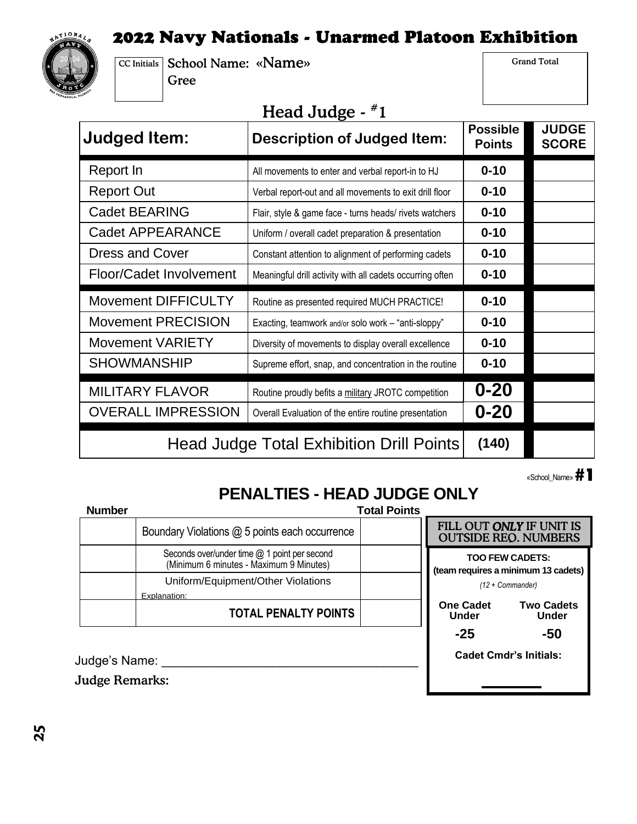### 2022 Navy Nationals - Unarmed Platoon Exhibition



CC Initials School Name: «Name» Gree

Grand Total

# Head Judge - #1

| <b>Judged Item:</b>        | TICAM O UMNU<br><b>Description of Judged Item:</b>        | <b>Possible</b><br><b>Points</b> | <b>JUDGE</b><br><b>SCORE</b> |
|----------------------------|-----------------------------------------------------------|----------------------------------|------------------------------|
| Report In                  | All movements to enter and verbal report-in to HJ         | $0 - 10$                         |                              |
| <b>Report Out</b>          | Verbal report-out and all movements to exit drill floor   | $0 - 10$                         |                              |
| <b>Cadet BEARING</b>       | Flair, style & game face - turns heads/ rivets watchers   | $0 - 10$                         |                              |
| <b>Cadet APPEARANCE</b>    | Uniform / overall cadet preparation & presentation        | $0 - 10$                         |                              |
| <b>Dress and Cover</b>     | Constant attention to alignment of performing cadets      | $0 - 10$                         |                              |
| Floor/Cadet Involvement    | Meaningful drill activity with all cadets occurring often | $0 - 10$                         |                              |
|                            |                                                           |                                  |                              |
| <b>Movement DIFFICULTY</b> | Routine as presented required MUCH PRACTICE!              | $0 - 10$                         |                              |
| <b>Movement PRECISION</b>  | Exacting, teamwork and/or solo work - "anti-sloppy"       | $0 - 10$                         |                              |
| <b>Movement VARIETY</b>    | Diversity of movements to display overall excellence      | $0 - 10$                         |                              |
| <b>SHOWMANSHIP</b>         | Supreme effort, snap, and concentration in the routine    | $0 - 10$                         |                              |
| <b>MILITARY FLAVOR</b>     | Routine proudly befits a military JROTC competition       | $0 - 20$                         |                              |
| <b>OVERALL IMPRESSION</b>  | Overall Evaluation of the entire routine presentation     | $0 - 20$                         |                              |

«School\_Name» **#1** 

**Cadet Cmdr's Initials:**

# **PENALTIES - HEAD JUDGE ONLY**

| <b>Number</b> |                                                                                         | <b>Total Points</b> |                                                                                          |                                                         |
|---------------|-----------------------------------------------------------------------------------------|---------------------|------------------------------------------------------------------------------------------|---------------------------------------------------------|
|               | Boundary Violations @ 5 points each occurrence                                          |                     |                                                                                          | FILL OUT ONLY IF UNIT IS<br><b>OUTSIDE REO. NUMBERS</b> |
|               | Seconds over/under time @ 1 point per second<br>(Minimum 6 minutes - Maximum 9 Minutes) |                     | <b>TOO FEW CADETS:</b><br>(team requires a minimum 13 cadets)<br>$(12 + \text{Comment})$ |                                                         |
|               | Uniform/Equipment/Other Violations<br>Explanation:                                      |                     |                                                                                          |                                                         |
|               | <b>TOTAL PENALTY POINTS</b>                                                             |                     | <b>One Cadet</b><br><b>Under</b>                                                         | <b>Two Cadets</b><br><b>Under</b>                       |
|               |                                                                                         |                     | $-25$                                                                                    | -50                                                     |

Judge's Name: \_\_\_\_\_\_\_\_\_\_\_\_\_\_\_\_\_\_\_\_\_\_\_\_\_\_\_\_\_\_\_\_\_\_\_\_\_

Judge Remarks: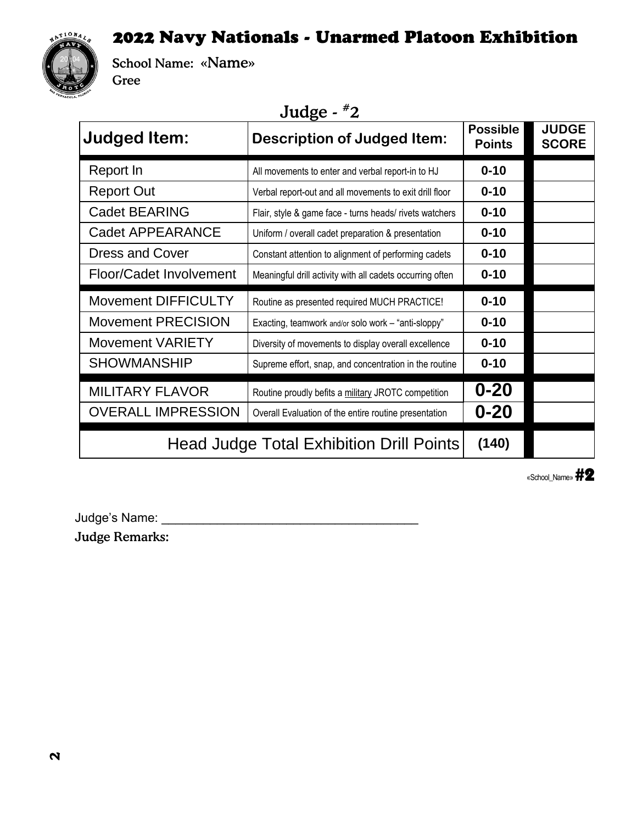#### 2022 Navy Nationals - Unarmed Platoon Exhibition



School Name: «Name» Gree

## Judge - #2

| <b>Judged Item:</b>            | ־ס<br><b>Description of Judged Item:</b>                  | <b>Possible</b><br><b>Points</b> | <b>JUDGE</b><br><b>SCORE</b> |
|--------------------------------|-----------------------------------------------------------|----------------------------------|------------------------------|
| Report In                      | All movements to enter and verbal report-in to HJ         | $0 - 10$                         |                              |
| <b>Report Out</b>              | Verbal report-out and all movements to exit drill floor   | $0 - 10$                         |                              |
| Cadet BEARING                  | Flair, style & game face - turns heads/ rivets watchers   | $0 - 10$                         |                              |
| <b>Cadet APPEARANCE</b>        | Uniform / overall cadet preparation & presentation        | $0 - 10$                         |                              |
| <b>Dress and Cover</b>         | Constant attention to alignment of performing cadets      | $0 - 10$                         |                              |
| <b>Floor/Cadet Involvement</b> | Meaningful drill activity with all cadets occurring often | $0 - 10$                         |                              |
| <b>Movement DIFFICULTY</b>     | Routine as presented required MUCH PRACTICE!              | $0 - 10$                         |                              |
|                                |                                                           |                                  |                              |
| <b>Movement PRECISION</b>      | Exacting, teamwork and/or solo work - "anti-sloppy"       | $0 - 10$                         |                              |
| <b>Movement VARIETY</b>        | Diversity of movements to display overall excellence      | $0 - 10$                         |                              |
| <b>SHOWMANSHIP</b>             | Supreme effort, snap, and concentration in the routine    | $0 - 10$                         |                              |
| <b>MILITARY FLAVOR</b>         | Routine proudly befits a military JROTC competition       | $0 - 20$                         |                              |
| <b>OVERALL IMPRESSION</b>      | Overall Evaluation of the entire routine presentation     | $0 - 20$                         |                              |

«School\_Name» #2

Judge's Name: \_\_\_\_\_\_\_\_\_\_\_\_\_\_\_\_\_\_\_\_\_\_\_\_\_\_\_\_\_\_\_\_\_\_\_\_\_

Judge Remarks: